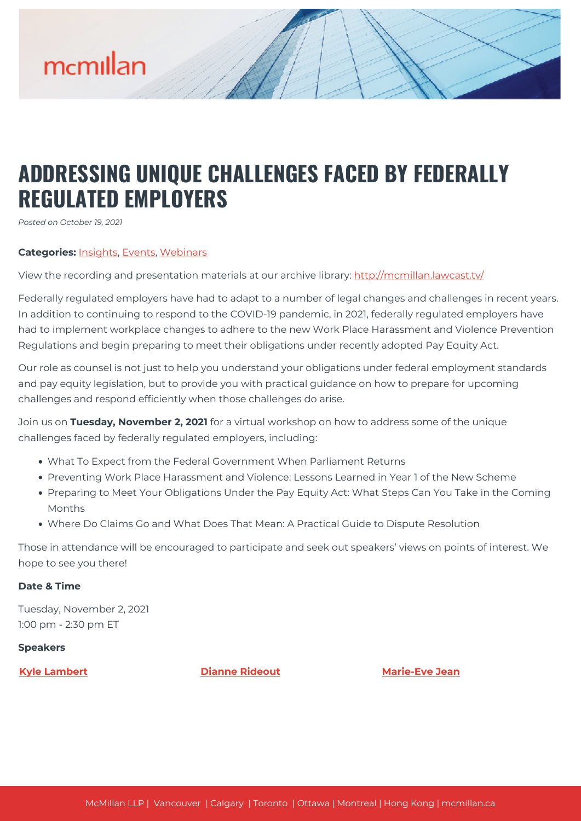

## **ADDRESSING UNIQUE CHALLENGES FACED BY FEDERALLY REGULATED EMPLOYERS**

*Posted on October 19, 2021*

## **Categories:** [Insights,](https://mcmillan.ca/insights/) [Events](https://mcmillan.ca/insights/events/), [Webinars](https://mcmillan.ca/insights/webinars/)

View the recording and presentation materials at our archive library: [http://mcmillan.lawcast.tv/](http://mcmillan.lawcast.tv/?page_id=5305)

Federally regulated employers have had to adapt to a number of legal changes and challenges in recent years. In addition to continuing to respond to the COVID-19 pandemic, in 2021, federally regulated employers have had to implement workplace changes to adhere to the new Work Place Harassment and Violence Prevention Regulations and begin preparing to meet their obligations under recently adopted Pay Equity Act.

Our role as counsel is not just to help you understand your obligations under federal employment standards and pay equity legislation, but to provide you with practical guidance on how to prepare for upcoming challenges and respond efficiently when those challenges do arise.

Join us on **Tuesday, November 2, 2021** for a virtual workshop on how to address some of the unique challenges faced by federally regulated employers, including:

- What To Expect from the Federal Government When Parliament Returns
- Preventing Work Place Harassment and Violence: Lessons Learned in Year 1 of the New Scheme
- Preparing to Meet Your Obligations Under the Pay Equity Act: What Steps Can You Take in the Coming Months
- Where Do Claims Go and What Does That Mean: A Practical Guide to Dispute Resolution

Those in attendance will be encouraged to participate and seek out speakers' views on points of interest. We hope to see you there!

## **Date & Time**

Tuesday, November 2, 2021 1:00 pm - 2:30 pm ET

## **Speakers**

**[Kyle Lambert](https://mcmillan.ca/people/kyle-lambert/) [Dianne Rideout](https://mcmillan.ca/people/dianne-rideout/) [Marie-Eve Jean](https://mcmillan.ca/people/marie-eve-jean/)**